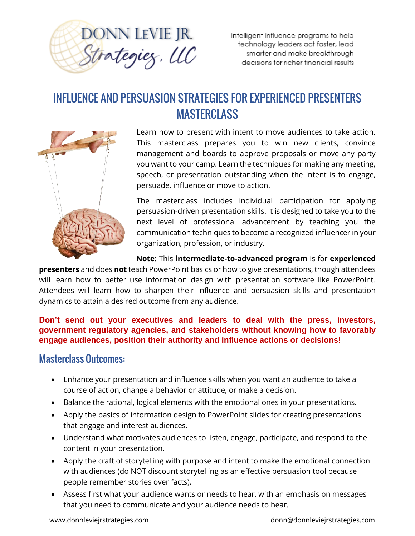

Intelligent Influence programs to help technology leaders act faster, lead smarter and make breakthrough decisions for richer financial results

## INFLUENCE AND PERSUASION STRATEGIES FOR EXPERIENCED PRESENTERS MASTERCLASS



Learn how to present with intent to move audiences to take action. This masterclass prepares you to win new clients, convince management and boards to approve proposals or move any party you want to your camp. Learn the techniques for making any meeting, speech, or presentation outstanding when the intent is to engage, persuade, influence or move to action.

The masterclass includes individual participation for applying persuasion-driven presentation skills. It is designed to take you to the next level of professional advancement by teaching you the communication techniques to become a recognized influencer in your organization, profession, or industry.

**Note:** This **intermediate-to-advanced program** is for **experienced** 

**presenters** and does **not** teach PowerPoint basics or how to give presentations, though attendees will learn how to better use information design with presentation software like PowerPoint. Attendees will learn how to sharpen their influence and persuasion skills and presentation dynamics to attain a desired outcome from any audience.

## **Don't send out your executives and leaders to deal with the press, investors, government regulatory agencies, and stakeholders without knowing how to favorably engage audiences, position their authority and influence actions or decisions!**

## Masterclass Outcomes:

- Enhance your presentation and influence skills when you want an audience to take a course of action, change a behavior or attitude, or make a decision.
- Balance the rational, logical elements with the emotional ones in your presentations.
- Apply the basics of information design to PowerPoint slides for creating presentations that engage and interest audiences.
- Understand what motivates audiences to listen, engage, participate, and respond to the content in your presentation.
- Apply the craft of storytelling with purpose and intent to make the emotional connection with audiences (do NOT discount storytelling as an effective persuasion tool because people remember stories over facts).
- Assess first what your audience wants or needs to hear, with an emphasis on messages that you need to communicate and your audience needs to hear.